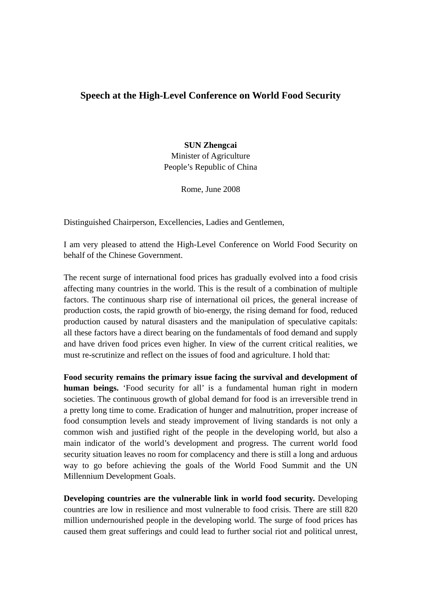## **Speech at the High-Level Conference on World Food Security**

## **SUN Zhengcai**

Minister of Agriculture People's Republic of China

Rome, June 2008

Distinguished Chairperson, Excellencies, Ladies and Gentlemen,

I am very pleased to attend the High-Level Conference on World Food Security on behalf of the Chinese Government.

The recent surge of international food prices has gradually evolved into a food crisis affecting many countries in the world. This is the result of a combination of multiple factors. The continuous sharp rise of international oil prices, the general increase of production costs, the rapid growth of bio-energy, the rising demand for food, reduced production caused by natural disasters and the manipulation of speculative capitals: all these factors have a direct bearing on the fundamentals of food demand and supply and have driven food prices even higher. In view of the current critical realities, we must re-scrutinize and reflect on the issues of food and agriculture. I hold that:

**Food security remains the primary issue facing the survival and development of human beings.** 'Food security for all' is a fundamental human right in modern societies. The continuous growth of global demand for food is an irreversible trend in a pretty long time to come. Eradication of hunger and malnutrition, proper increase of food consumption levels and steady improvement of living standards is not only a common wish and justified right of the people in the developing world, but also a main indicator of the world's development and progress. The current world food security situation leaves no room for complacency and there is still a long and arduous way to go before achieving the goals of the World Food Summit and the UN Millennium Development Goals.

**Developing countries are the vulnerable link in world food security.** Developing countries are low in resilience and most vulnerable to food crisis. There are still 820 million undernourished people in the developing world. The surge of food prices has caused them great sufferings and could lead to further social riot and political unrest,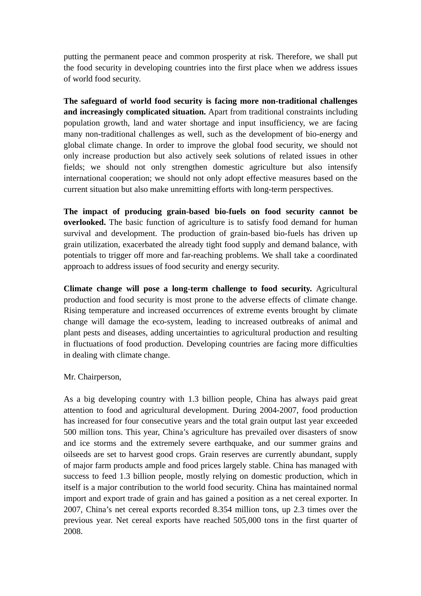putting the permanent peace and common prosperity at risk. Therefore, we shall put the food security in developing countries into the first place when we address issues of world food security.

**The safeguard of world food security is facing more non-traditional challenges and increasingly complicated situation.** Apart from traditional constraints including population growth, land and water shortage and input insufficiency, we are facing many non-traditional challenges as well, such as the development of bio-energy and global climate change. In order to improve the global food security, we should not only increase production but also actively seek solutions of related issues in other fields; we should not only strengthen domestic agriculture but also intensify international cooperation; we should not only adopt effective measures based on the current situation but also make unremitting efforts with long-term perspectives.

**The impact of producing grain-based bio-fuels on food security cannot be overlooked.** The basic function of agriculture is to satisfy food demand for human survival and development. The production of grain-based bio-fuels has driven up grain utilization, exacerbated the already tight food supply and demand balance, with potentials to trigger off more and far-reaching problems. We shall take a coordinated approach to address issues of food security and energy security.

**Climate change will pose a long-term challenge to food security.** Agricultural production and food security is most prone to the adverse effects of climate change. Rising temperature and increased occurrences of extreme events brought by climate change will damage the eco-system, leading to increased outbreaks of animal and plant pests and diseases, adding uncertainties to agricultural production and resulting in fluctuations of food production. Developing countries are facing more difficulties in dealing with climate change.

Mr. Chairperson,

As a big developing country with 1.3 billion people, China has always paid great attention to food and agricultural development. During 2004-2007, food production has increased for four consecutive years and the total grain output last year exceeded 500 million tons. This year, China's agriculture has prevailed over disasters of snow and ice storms and the extremely severe earthquake, and our summer grains and oilseeds are set to harvest good crops. Grain reserves are currently abundant, supply of major farm products ample and food prices largely stable. China has managed with success to feed 1.3 billion people, mostly relying on domestic production, which in itself is a major contribution to the world food security. China has maintained normal import and export trade of grain and has gained a position as a net cereal exporter. In 2007, China's net cereal exports recorded 8.354 million tons, up 2.3 times over the previous year. Net cereal exports have reached 505,000 tons in the first quarter of 2008.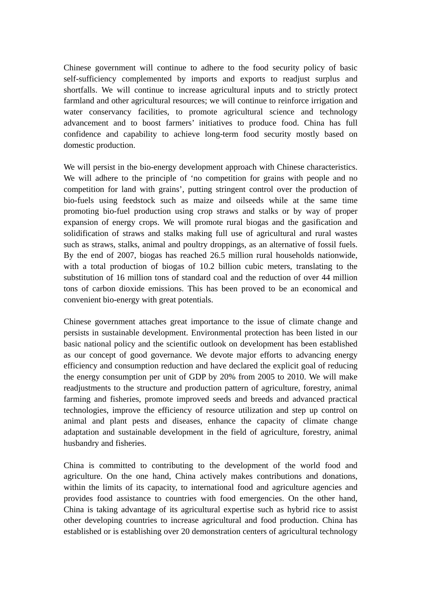Chinese government will continue to adhere to the food security policy of basic self-sufficiency complemented by imports and exports to readjust surplus and shortfalls. We will continue to increase agricultural inputs and to strictly protect farmland and other agricultural resources; we will continue to reinforce irrigation and water conservancy facilities, to promote agricultural science and technology advancement and to boost farmers' initiatives to produce food. China has full confidence and capability to achieve long-term food security mostly based on domestic production.

We will persist in the bio-energy development approach with Chinese characteristics. We will adhere to the principle of 'no competition for grains with people and no competition for land with grains', putting stringent control over the production of bio-fuels using feedstock such as maize and oilseeds while at the same time promoting bio-fuel production using crop straws and stalks or by way of proper expansion of energy crops. We will promote rural biogas and the gasification and solidification of straws and stalks making full use of agricultural and rural wastes such as straws, stalks, animal and poultry droppings, as an alternative of fossil fuels. By the end of 2007, biogas has reached 26.5 million rural households nationwide, with a total production of biogas of 10.2 billion cubic meters, translating to the substitution of 16 million tons of standard coal and the reduction of over 44 million tons of carbon dioxide emissions. This has been proved to be an economical and convenient bio-energy with great potentials.

Chinese government attaches great importance to the issue of climate change and persists in sustainable development. Environmental protection has been listed in our basic national policy and the scientific outlook on development has been established as our concept of good governance. We devote major efforts to advancing energy efficiency and consumption reduction and have declared the explicit goal of reducing the energy consumption per unit of GDP by 20% from 2005 to 2010. We will make readjustments to the structure and production pattern of agriculture, forestry, animal farming and fisheries, promote improved seeds and breeds and advanced practical technologies, improve the efficiency of resource utilization and step up control on animal and plant pests and diseases, enhance the capacity of climate change adaptation and sustainable development in the field of agriculture, forestry, animal husbandry and fisheries.

China is committed to contributing to the development of the world food and agriculture. On the one hand, China actively makes contributions and donations, within the limits of its capacity, to international food and agriculture agencies and provides food assistance to countries with food emergencies. On the other hand, China is taking advantage of its agricultural expertise such as hybrid rice to assist other developing countries to increase agricultural and food production. China has established or is establishing over 20 demonstration centers of agricultural technology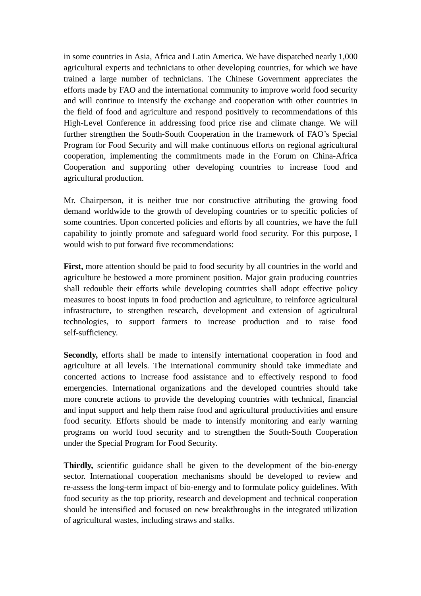in some countries in Asia, Africa and Latin America. We have dispatched nearly 1,000 agricultural experts and technicians to other developing countries, for which we have trained a large number of technicians. The Chinese Government appreciates the efforts made by FAO and the international community to improve world food security and will continue to intensify the exchange and cooperation with other countries in the field of food and agriculture and respond positively to recommendations of this High-Level Conference in addressing food price rise and climate change. We will further strengthen the South-South Cooperation in the framework of FAO's Special Program for Food Security and will make continuous efforts on regional agricultural cooperation, implementing the commitments made in the Forum on China-Africa Cooperation and supporting other developing countries to increase food and agricultural production.

Mr. Chairperson, it is neither true nor constructive attributing the growing food demand worldwide to the growth of developing countries or to specific policies of some countries. Upon concerted policies and efforts by all countries, we have the full capability to jointly promote and safeguard world food security. For this purpose, I would wish to put forward five recommendations:

**First,** more attention should be paid to food security by all countries in the world and agriculture be bestowed a more prominent position. Major grain producing countries shall redouble their efforts while developing countries shall adopt effective policy measures to boost inputs in food production and agriculture, to reinforce agricultural infrastructure, to strengthen research, development and extension of agricultural technologies, to support farmers to increase production and to raise food self-sufficiency.

**Secondly,** efforts shall be made to intensify international cooperation in food and agriculture at all levels. The international community should take immediate and concerted actions to increase food assistance and to effectively respond to food emergencies. International organizations and the developed countries should take more concrete actions to provide the developing countries with technical, financial and input support and help them raise food and agricultural productivities and ensure food security. Efforts should be made to intensify monitoring and early warning programs on world food security and to strengthen the South-South Cooperation under the Special Program for Food Security.

**Thirdly,** scientific guidance shall be given to the development of the bio-energy sector. International cooperation mechanisms should be developed to review and re-assess the long-term impact of bio-energy and to formulate policy guidelines. With food security as the top priority, research and development and technical cooperation should be intensified and focused on new breakthroughs in the integrated utilization of agricultural wastes, including straws and stalks.